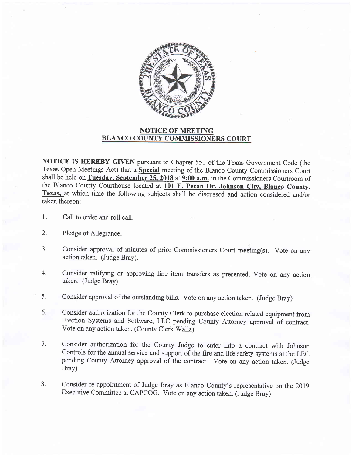

## NOTICE OF MEETING BLANCO COUNTY COMMISSIONERS COURT

NOTICE IS HEREBY GIVEN pursuant to Chapter 551 of the Texas Government Code (the Texas Open Meetings Act) that a Special meeting of the Blanco County Commissioners Court shall be held on Tuesday, September 25, 2018 at 9:00 a.m. in the Commissioners Courtroom of the Blanco County Courthouse located at 101 E. Pecan Dr. Johnson City, Blanco County, Texas, at which time the following subjects shall be discussed and action considered and/or taken thereon:

- 1 Call to order and ro11 call.
- 2. Pledge of Allegiance.
- $3.$ Consider approval of minutes of prior Commissioners Court meeting(s). Vote on any action taken. (Judge Bray).
- 4. Consider ratifying or approving line item transfers as presented. Vote on any action taken. (Judge Bray)
- Consider approval of the outstanding bills. Vote on any action taken. (Judge Bray) 5.
- Consider authorization for the County Clerk to purchase election related equipment from Election Systems and Software, LLC pending County Attorney approval of contract. Vote on any action taken. (County Clerk Walla) 6.
- Consider authorization for the County Judge to enter into a contract with Johnson Controls for the annual service and support of the fire and life safety systems at the LEC pending County Attorney approval of the contract. Vote on any action taken. (Judge Bray) 7.
- Consider re-appointment of Judge Bray as Blanco County's representative on the 2019 Executive Committee at CAPCOG. Vote on any action taken. (Judge Bray) 8.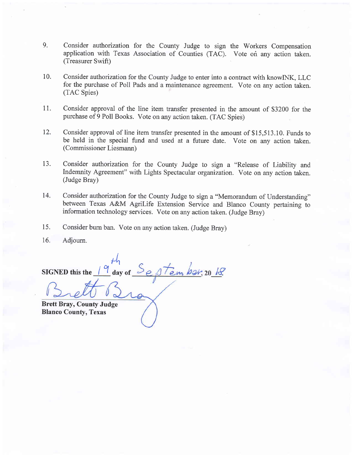- 9. Consider authorization for the County Judge to sign the Workers Compensation application with Texas Association of Counties (TAC). Vote on any action taken. (Treasurer Swift)
- 10. Consider authorization for the County Judge to enter into a contract with knowINK, LLC for the purchase of Poll Pads and a maintenance agreement. Vote on any action taken. (TAC Spies)
- 11. Consider approval of the line item transfer presented in the amount of \$3200 for the purchase of 9 Poll Books. Vote on any action taken. (TAC Spies)
- 12. Consider approval of line item transfer presented in the amount of \$15,513.10. Funds to be held in the special fund and used at a future date. Vote on any action taken. (Commissioner Liesmann)
- 13. Consider authorization for the County Judge to sign a "Release of Liability and Indemnity Agreement" with Lights Spectacular organization. Vote on any action taken. (Judge Bray)
- 14. Consider authorization for the County Judge to sign a "Memorandum of Understanding" between Texas A&M Agrilife Extension Service and Blanco County pertaining to information technology services. vote on any action taken. (Judge Bray)
- Consider burn ban. Vote on any action taken. (Judge Bray) 15.
- Adjourn. 16.

 $\mu$ h SIGNED this the  $\frac{1}{3}$  day of  $\frac{3}{6}$ Stember, 20 18. Brett Bray, County Judge Blanco County, Texas